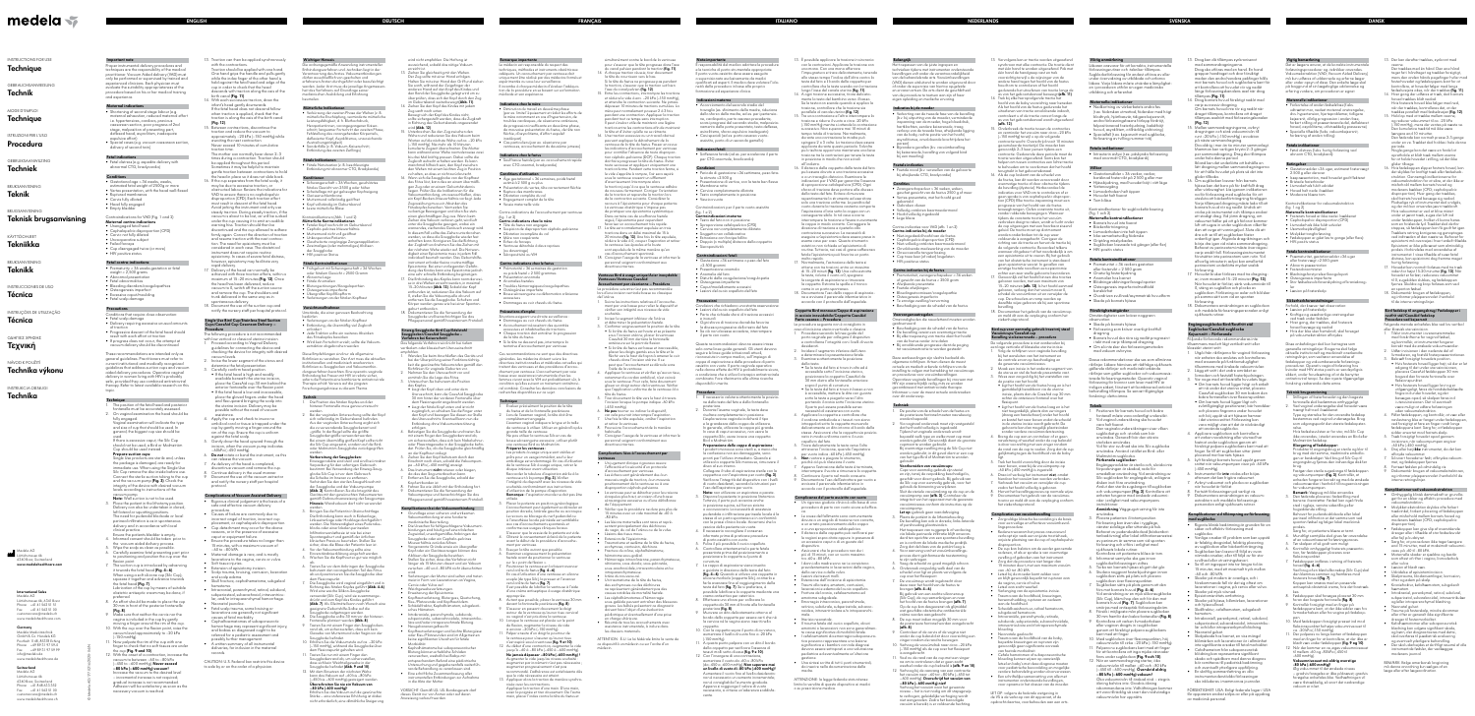**SVENSKA DANSK**

**Important note** er instrumental delivery procedures and techniques are the responsibility of the medical practitioner. Vacuum Aided delivery (VAD) must only be performed or supervised by trained and experienced clinicians. Each physician must evaluate the suitability appropriateness of the procedure based on his or her medical training and experience.

## **Maternal indications**

- Shortening of second stage labour (e.g. maternal exhaustion, reduced maternal effor i.e. hypertensives, cardiacs, previous caesarean section, poor progress of 2nd stage, malposition of presenting part deflexed head, asynclitism, inadequate
- expulsive effort) • Special cases (e.g. vacuum caesarean section, delivery of second twin)

- Uncooperative subject • Failed forceps
- Cup disengaged twice (or more) • HIV positive status

## **Fetal indications**

• Fetal distress (e.g. expedite delivery with abnormal CTG, bradycardia)

#### **Conditions**  • Gestational age > 36 weeks, weeks,

- estimated fetal weight of 2500g or more • Vertex presentation, with the head well-flexed
- Ruptured membranes • Cervix fully dilated
- Head fully engaged • Empty bladder
- Contraindications for VAD (Fig. 1 and 2)
- **Maternal contra-indications** • Unengaged fetal head

#### These recommendations are intended only a general guidelines. Practitioners must refer to nt institutional and medically recognize guidelines that address suction cups and vacuum aided delivery procedures. Operative vaginal delivery in women living with HIV is probably safe, provided they use combined antiretroviral herapy. Refer to latest available research on this topic.

#### • Cephalopelvic disproportion (CPD) • Cervic not fully dilated

## **Fetal contra-indications**

- Prematurity < 36 weeks gestation or fetal weight < 2,500 grams
- Abnormal presentation • Fetal abnormalities
- Bleeding disorders/coagulapathies • Osteogenesis imperfect
- Excessive caput/moulding • Fetal scalp damage

### **Precautions**

- Conditions that require close observation: • Fetal scalp damage
- Delivery requiring excessive unusual amounts of traction
- Progressive descent of the fetal head should result with each effort at traction
- If progress does not occur, the attempt at vacuum delivery should be discontinued

### **Technique**

- The position of the fetal head and posterior itanelle must be accurately assesse 2. On vaginal examination the head should be fully engaged. Vaginal examination will indicate the type and size of cup that should be used. In
- general, the biggest cup size should be used. If there is excessive caput, the Silc Cup should not be used; a Bird or Malmström Cup should be used instead.
- **Prepare suction cups:** Single Use products are sterile and, unless he package is damaged, are ready for nmediate use. When using the Single Use Silc Cup remove the disc inside before use. Connect the sterile suction tubing to the cup and the vacuum pump **(Fig. 3)**. Check the integrity of the device with desired vacuum levels according to instructions of the vacuum pump.
- **Note:** Wall suction is not to be used. Place the patient in the lithotomy position Delivery can also be undertaken in dorsal, left lateral or squatting positions. The need for pudendal blockade or local perineal infiltration is as in spontaneous delivery and in accordance with local clinical practice. Ensure the patients bladder is empty.
- 4. Informed consent should be taken prior to he vacuum aided delivery process 5. Wipe the scalp as clean as possible.
- . Carefully examine fetal presenting part prior to positioning and position the cup over the flexion point.
- 7. The suction cup is introduced by advancing it towards the fetal head **(Fig. 4–6)**. When using a soft silicone cup (Silc Cup squeeze it together and advance towar the fetal head **(Fig. 7)**. Lubrication of the cup by means of suitable obstetric antiseptic cream may be done, if
- preferred. 8. An effort should be made to place the cup 30 mm in front of the posterior fontanelle **(Fig. 8)**.
- 9. Make sure that neither the cervix nor the vagina is included in the cup by gently wing a finger around the rim of the cu 10. With the cup over the flexion point, raise the
- vacuum level approximately to –20 kPa (–150 mmHg). 11. Now palpate the rim of the cup with one finger to check that no soft tissues are under
- the cup **(Fig. 9 and 10)**. 12. With the onset of a contraction, increase th vacuum to between –60 to –80 kPa (–450 to –600 mmHg). **Never exceed –80 kPa (–600 mmHg) vacuum!** Increase the vacuum to the desired leve incremental increase is not required gradual increase is not recommended.

be applied throughout this period. Sometimes it may be helpful to maintain gentle traction between contractions to hold the head in place so it does not slide back. 6. If the cup separates from the fetal scalp, it

#### **Single Use Bird Cup/Stainless Steel Suction Cups/CaesAid Cup Cesarean Delivery –**  edure **communists**

Adhesion will be satisfactory as soon as the

necessary vacuum is reached.

- 13. Traction can then be applied synchronously with the contractions.
- Traction should be applied with one hand. One hand grips the handle and pulls gently while the index finger of the other hand is held against the fetal head and edge of the cup in order to check that the head descends with traction along the axis of the birth canal **(Fig. 11)**.
- . With each successive traction, draw the infant's head gently downwards. If the fetal head does not descend follow when traction is applied, check that the traction is along the axis of the birth canal **(Fig. 12)**.
- 15. Between contractions, discontinue the traction and reduce the vacuum to approximately –20 kPa (–150 mmHg) while awaiting the next contraction. Never exceed 10 minutes of cumulative traction time. The mother can normally bear down 2–3 times during a contraction. Traction should

Postfach 1148, 85378 Eching Phone +49 89 31 97 59-0 Fax +49 89 31 97 59 99 info@medela.de www.medelahealthcare.de

**Wichtiger Hinweis** ordnungsgemäße Anwendung instrumenteller Entbindungsverfahren und -techniken liegt in der vrtung des Arztes. Vakuumentbindunger

innen, vorangegangener Kais schnitt, langsamer Fortschritt der zweiten Phase, Fehlstellung des vorangehenden Körperteils, deflexierter Kopf, Asynklitismus, unzureichende

• Sonderfälle (z. B. Vakuum-Kaiserschnit Entbindung des zweiten Zwillings) **Fötale Indikationen**  • Fötale Notsituation (z. B. beschleuniate Entbindung mit abnormer CTG, Bradykardie)

**• Gescheiterte vorgängige Zangenapplikation** • Zweimaliges (oder mehrmaliges) Ablösen

- may be due to excessive traction, or obstructed labour. Review the indications fo VAD to ensure there is no cephalopelvic disproportion (CPD). Each traction effor must result in descent of the fetal head. Avoid jerking the instrument and only use steady traction. During steady traction, if the vacuum is about to be lost, air will be sucked under the cup causing it to emit an audible warning hiss. Traction should then be discontinued and the cup allowed to adhere irmly again. Correct the direction of traction and resume traction with the next contraction. The need for episiotomy must be considered in each case. The obstetrical instrument does not require routine episiotomy. In cases of severe fetal distress, however, episiotomy may facilitate very
- rapid delivery. 17. Delivery of the head can normally be achieved with three traction efforts, within a maximum of 15–20 minutes **(Fig. 13)**. Once the head has been delivered, reduce vacuum to 0, switch off the suction source and remove the cup. The shoulders and trunk delivered in the same way as in spontaneous delivery.
- 18. Document the use of the suction cup and notify the nursery staff per hospital protocol.

2. Bei der vaginalen Untersuchung sollte der Kopf sich vollständig im Geburtskanal befinder Aus der vaginalen Untersuchung ergibt sich die zu verwendende Saugglockenart und -größe. In der Regel sollte die größte  $i$ ugglockengröße verwendet werden. Bei einem übermäßig großen Kopf sollte nich die Silc Cup eingesetzt, sondern auf die Birdoder Malmström-Saugglocke zurückgegriffen

wegprodukte sind steril und sind bei intakter Verpackung für den sofortigen Gebrauch bestimmt. Bei Verwendung der Einweg-Saugglocke Silc Cup ist vor dem Gebrauch die Scheibe im Inneren zu entfernen. Verbinden Sie den sterilen Saugschlauch mit der Saugglocke und der Vakuumpumpe **(Abb. 3)**. Kontrollieren Sie die Integrität des ierätes mit den gewünschten Vakuumwerte emäß Gebrauchsanweisung der Saugpump **Hinweis:** Wandvakuum darf nicht verwendet

- The following procedure is not recommended with low vertical or classical uterine incision. Proceed according to Vaginal Delivery guidelines for connecting the device and checking the device for integrity with desired vacuum levels.
- 2. Incise the lower segment of the uterus and determine the fetal presentation. 3. Carefully confirm head position.
- If the fetal head is high and readily available beneath the uterine incision,
- place the CaesAid cup 30 mm behind the anterior fontanelle over the flexion point. • If the fetal head is low and inaccessibl place the gloved fingers under the head and flex upward bringing the scalp into the uterine incision. Delivery may be possible without the need of vacuum
- assistance. Apply the cup and check to insure no umbilical cord or tissue is trapped under the cup by gently moving a finger around the rim of the cup. Ensure the cup is uniform
- against the fetal scalp. 5. Gently draw the head upward through the incision, when the vacuum pump indicates
- –60kPa (–450 mmHg). **Do not** rotate or bend the instrument, as this can release the vacuum.
- As delivery of the head is completed
- discontinue vacuum and remove the cup. Inue delivery in the usual manner
- Document the use of the vacuum extracto and notify the nursery staff per hospital protocol.

Erhöhen Sie das Vakuum auf die aewünscht Stärke – eine stufenweise Erhöhung ist dabei nicht erforderlich; eine allmähliche Steigerung wird nicht empfohlen. Die Haftung is ausreichend, sobald das nötige Vakuum

Ziehen Sie gleichzeitig mit den Wehen. er Zug sollte mit einer Hand erfolg Halten Sie mit einer Hand den Griff und ziehe Sie sanft, während der Zeigefinger der anderen Hand auf den Kopf des Kindes und den Rand der Saugglocke gelegt wird um z überprüfen, dass sich der Kopf durch den Zug im Geburtskanal weiterbewegt **(Abb. 11)**. 14. Ziehen Sie den Kopf des Kindes mit jedem

#### **Complications of Vacuum Assisted Delivery** • Rigorous clinical judgement is the basis of a safe and effective vacuum delivery

- procedure. • Causes of failure are commonly due to incorrect angel of traction, incorrect cup
- placement, or cephalopelvic disproportio • Cup detachment may occur for the above reasons, or in the presence of excessive
- caput or equipment failure. • Ensure the procedure takes no longer than 15 minutes, with a maximum vacuum of
- –60 to –80 kPA. • Maternal damage is rare, and is mostly lacerations to the vagina, cervix or vulva.
- Soft tissue injuries. • Extension of episiotomy incision.
- Scalp trauma, bruising, contusion, laceration and scalp edema. • Skull fracture, cephalhematoma, subgaleal
- hematoma. • Intracranial, parenchymal, retinal, subdural
- subperiosteal, subarachnoid, intraventricular, and/or intraparenchymal hemorrhage. • Neonatal jaundice.
- Fetal scalp trauma, some bruising or lacerations are generally not significant causes of fetal morbidity.
- Cephalhaematomas of subaponeurotic hemorrhage may represent significant injury, and babies so diagnosed ought to be referred for a pediatric assessment and possibly further management.
- A written summary of all instrumental deliveries, for inclusion in the maternal records.

**Einweg-Saugglocke Bird Cup/Edelstahl Saugglocken/CaesAid Saugglocke – Verfahren bei Kaiserschnitt** Das folgende Verfahren wird nicht bei tiefem ertikalem oder klassischem Uteruseinschnit

## Uterusschnitt, kann die CaesAid Saugglocke 30 mm hinter der vorderen Fontanelle über dem Flexionspunkt angebracht werden. zugänglich, so schieben Sie die Finger unt

CAUTION: U.S. Federal law restricts this device to sale by or on the order of a physician.

### INSTRUCTIONS FOR USE **Technique**

## GEBRAUCHSANWEISUNG

**Technik**

### MODE D'EMPLOI **Technique**

ISTRUZIONI PER L'USO

# **Procedura**

# GEBRUIKSAANWIJZING

# **Techniek**

BRUKSANVISNING **Teknik**

### BRUGSANVISNING **Teknisk brugsanvisning**

# KÄYTTÖOHJEET

# **Tekniikka**

BRUKSANVISNING **Teknikk**

## INSTRUCCIONES DE USO **Técnica**

INSTRUÇÕES DE UTILIZAÇÃO **Técnica**

ΟΔΗΓΙΕΣ ΧΡΗΣΗΣ

# Τεχνική

NÁVOD K POUŽITÍ **Technika výkonu**

# INSTRUKCJA OBSŁUGI

**Technika**

© Medela AG/177.0216/2020-04/N

#### **International Sales** Medela AG

Fahren Sie wie üblich mit der Entbindung for 9. Dokumentieren Sie die Verwendung der Vakuumpumpe und benachrichtigen Sie das Pflegepersonal gemäß hausinternem Protokoll. **Komplikationen bei der Vakuumentbindung** Grundlage einer sicheren und wirksame Vakuumentbindung ist eine fundierte medizinische Beurteilung.

Lättichstrasse 4b, 6341 Baar Phone  $+41$  41 562 51 5 Fax +41 41 562 51 00 ustomercare@medela.ch www.medelahealthcare.com

#### **Germany** Medela Medizintechnik GmbH & Co. Handels KG

## **Switzerland**

• Kopfhautverletzung, Bluterguss, Quetschung, Riss-/Platzwunde und Kopfhautödem. • Schädelfraktur, Kephalhämatom, subgaleati

Medela AG Lättichstrasse 4b 6340 Baar, Switzerland  $P$ hone +41 848 633 35 Fax +41 41 562 51 0 customercare@medela.ch www.medelahealthcare.ch

#### Medela AG Lättichstrasse 4b 6340 Baar, Switzerland **www.medelahealthcare.com**

#### **Remarque importante** Le médecin est responsable du respect des echniques, méthodes et instruments obstétricau adéquats. Un accouchement par ventouse doit iquement être réalisé par des médecins formés et

dürfen ausschließlich von geschulten und erfahrenen Ärzten durchgeführt oder beaufsichtig verden. Jeder Arzt muss die jeweilige Angemessei heit des Verfahrens auf Grundlage seiner medizinischen Ausbildung und Erfahrung

beurteilen.

**Mütterliche Indikationen** 

• Verkürzung der zweiten Phase der Wehen (z. B. mütterliche Erschöpfung, verminderte mütterliche Leistungsfähigkeit, d. h. Bluthochdruck,

Austreibungstätigkeit)

#### Contre-indications de l'accouchement par ventouse (. 1 et 2)

**Konditionen**

• Schwangerschaft > 36 Wochen, geschätztes fötales Gewicht von 2500 g oder höher • Scheitellage mit gut gebeugter Kopfneigung

> **Précautions d'emploi** ituations exigeant une étroite surveillance

• Gerissene Membrane  $•\,$  Muttermund vollständig geöffne • Kopf vollständig im Geburtskanal • Leere mütterliche Blase Kontraindikationen (Abb. 1 und 2) **Mütterliche Kontraindikationen** • Fetaler Kopf noch nicht im Geburtskand Cephalo-pelvines Missverhältni • Muttermund nicht voll geöffnet • Unkooperative Patientin

der Saugglocke • HIV-positiver Status

**Fötale Kontraindikationen** • Frühgeburt mit Schwangerschaft < 36 Wochen oder fötalem Gewicht < 2500 Gramm

• Abnorme Lage • Fötale Anomalien

• Blutungsstörungen/Koagulopathien • Osteogenesis imperfecta • Übergroßer Kopf/Kopfform • Verletzungen an der fötalen Kopfhaut **Vorsichtsmaßnahmen** Umstände, die einer genauen Beobachtung

bedürfen:

• Verletzungen an der fötalen Kopfhaut • Entbindung, die übermäßig viel Zugkraft

• Jede Traktion sollte ein weiteres Absinken

erfordert

des Fötuskopfes bewirken

• Wird kein Fortschritt erzielt, sollte die Vakuum-

extraktion abgebrochen werden

Diese Empfehlungen sind nur als allgemeine Richtlinien zu verstehen. Der Arzt muss die aktuellen institutionellen und medizinisch anerkannten ichtlinien zu Saugglocken und Vakuumentbir dungsverfahren beachten. Eine operativ-vaginal Entbindung bei Frauen mit HIV ist relativ sicher, sofern die Patientin eine kombinierte antiretrovirale Therapie erhält. Verweis auf die jüngsten Forschungsergebnisse zu diesem Thema.

**Technik**

1. Die Position des fötalen Kopfes und der hinteren Fontanelle muss genau untersucht

werden.

- Les produits à usage unique sont stériles et prêts pour un usage immédiat, sauf si leur emballage est endommagé. En cas d'utilisation de la ventouse Silc à usage unique, retirer le disque intérieur avant utilisatio Raccorder la tubulure d'aspiration stérile à la ventouse et à la pompe **(fig. 3).** Vérifier l'intégrité du dispositif avec les niveaux de vide
- souhaités conformément aux instructions d'utilisation de la pompe d'aspiration. **Remarque :** l'aspiration murale ne doit pas être utilisée.
- Placer la patiente en position avnécologique L'accouchement peut également se dérouler en position dorsale, latérale gauche ou accroupie. Le recours au blocage du nerf pudendal ou à l'anesthésie locale périnéale est semblable aux cas d'accouchements spontanés et conforme aux usages cliniques locaux.
- 'assurer que la vessie de la patiente est vide. Obtenir le consentement éclairé de la patiente avant le début de la procédure d'accouchement par ventouse.
- 5. Essuyer la tête autant que possible. Examiner soigneusement la présentation
- fœtale avant de positionner la ventouse sur le « point de flexion ». Positionner la ventouse en la faisant avance vers la tête du fœtus **(fig. 4–6)**. En cas d'utilisation d'une ventouse en silicone souple (de type Silc), la presser et l'avancer
- vers la tête du fœtus **(fig. 7)**. Il est possible de lubrifier la ventouse à l'aide d'une crème antiseptique à usage obstétrique appropriée. Autant que possible, placer la ventouse 30 mm
- devant la fontanelle postérieure **(fig. 8)**. 9. S'assurer en passant doucement le doigt autour de la ventouse qu'aucun tissu cervic ou vaginal n'est pris dans la ventouse.
- 10. Lorsque la ventouse est placée sur le point de flexion, augmenter le niveau de vide
- à environ –20 kPa (–150 mmHg). 11. Palper ensuite d'un doigt le pourtour de a ventouse pour s'assurer qu'aucur
- n'est aspiré sous la ventouse **(fig. 9 et 10)**. 12. Au début d'une contraction, augmenter le vide  $_{150}$ u'à –60 à –80 kPa (–450 à –600 mmHg **Ne jamais dépasser –80 kPa (–600 mmHg) !** Augmenter le vide jusqu'au niveau souhaité : augmenter par incrément n'est pas nécessair augmenter progressivement n'est pas recommandé. L'adhérence est satisfaisante dès
- que le vide nécessaire est atteint 13. Appliquer alors la traction de manière synchro nisée avec les contractions.
- Appliquer la traction d'une main. D'une main, saisir la poignée et tirer doucement. De l'autre main, placer l'index contre la tête du fœtus et

simultanément contre le bord de la ventouse pour s'assurer que la tête progresse dans l' du canal pelvien pendant la traction **(fig. 11)**. l. À chaque traction réussie, tirer doucemen la tête du nourrisson vers le bas. Si la tête du fœtus ne progresse pas penda

werden.

**Vorbereitung der Saugglocken:**

werden.

3. Bringen Sie die Patientin in Steinschnittlage. Die Entbindung kann auch in Rückenlage, Linksseitenlage oder Hocklage durchgefü werden. Die Notwendigkeit eines Pudendu blocks oder einer lokalen perinealen nfiltrationsanästhesie ist wie bei eine Spontangeburt und gemäß der örtliche klinischen Praxis zu beurteilen. Stellen Sie sicher, dass die Blase der Patientin leer ist. 4. Vor der Vakuumentbindung sollte eine Einverständniserklärung eingeholt werden. 5. Wischen Sie die Kopfhaut so gut wie möglich

ab.

6. Tasten Sie vor dem Anbringen der Saugglocke behutsam den vorangehenden Teil des Föt ab und positionieren Sie die Saugglocke über

dem Flexionspunkt.

7. Die Saugglocke wird vaginal eingeführt und in Richtung des fötalen Kopfes geführt **(Abb. 4-6)**. Wird eine weiche Silikon-Saugglocke verwendet (Silc Cup), wird sie zusammengedrückt und zum Kopf des Kindes geführt **(Abb. 7)**. Als Gleitmittel kann nach Wunsch eine geeignete Geburtshilfe-Salbe auf die ugglocke aufgetragen werder 8. Die Saugglocke sollte 30 mm vor der hinteren Fontanelle platziert werden **(Abb. 8)**. 9. Tasten Sie mit einem Finger den Saugglockenrand ab, um sicherzustellen, dass sich kein Gewebe von Muttermund oder Vagina in der

Saugglocke befindet.

10. Erhöhen Sie die Vakuumstufe auf ca. –20 kPa (–150 mmHg), während die Saugglocke über dem Flexionspunkt gehalten wird. 11. Tasten Sie nun mit einem Finger den Saugglockenrand ab, um sicherzustelle dass sich kein Weichteilgewebe in d Saugglocke befindet **(Abb. 9 und 10)**. 2. Mit dem Einsetzen der nächsten We kann das Vakuum auf –60 bis –80 kPa (–450 bis –600 mmHg) gesteigert werden. **Überschreiten Sie nie ein Vakuum von** 

**–80 kPa (-600 mmHg)!**

erreicht ist.

Zug sanft nach unten.

onsabilità del medico adottare le procedure e le tecniche di parto strumentale appropriate. Il parto vuoto-assistito deve essere eseguito visionato esclusivamente da med qualificati ed esperti. Il medico deve valutare l'idoneità della procedura in base alla propria formazione ed esperienza clinica.

Bewegt sich der Kopf des Kindes nicht, sollte sichergestellt werden, dass die Zugkraft in Richtung des Geburtskanals angewendet

wird **(Abb. 12)**.

 $<$ 2.500 grammi • Presentazione anomala • Anomalie del feto

15. Unterbrechen Sie den Zug zwischen den Wehen und reduzieren Sie das Vakuum beir Warten auf die nächste Wehe auf ca. - 20 kP (–150 mmHg). Nie mehr als 10 Minuten kumulierte Zugzeit überschreiten. Die Mutter kann während einer Wehe normalerweise zw bis drei Mal kräftig pressen. Dabei sollte die Zugkraft aufrecht erhalten werden. Es kann nanchmal hilfreich sein, den Kopf zwische den Wehen mit einem leichten Zug in Positi zu halten, so dass er nicht zurückrutscht. 16. Wenn sich die Saugglocke von der Kopfha des Fötus löst, kann dies an einem übermä gen Zug oder an einem Geburtshindernis liegen. Prüfen Sie die Indikationen für die Vakuumentbindung, um auszuschließen, dass ein Kopf-Becken-Missverhältnis vorliegt. Jede Zugausübung muss ein Absinken des Fötuskopfes bewirken. Vermeiden Sie ruckartige Bewegungen und üben Sie stets einen gleichmäßigen Zug aus. Wenn beim Ziehen das Vakuum verloren geht, wird Luf unter die Saugglocke gesogen, wobei ein warnendes, zischendes Geräusch erzeugt wird. In diesem Fall sollte das Ziehen unterbroch werden, so dass die Saugglocke wieder fest anhaften kann. Korrigieren Sie die Richtung der Zugkraft und nehmen Sie das Ziehen mit der nächsten Wehe wieder auf. Die Notwe digkeit einer Episiotomie muss in jedem Fall ıdividuell beurteilt werden. Das Geburtshilf instrument erfordert keine routinemäßige Episiotomie. Bei einer vorliegenden Gefä dung des Kindes kann eine Episiotomie jedoch eine sehr schnelle Entbindung begünstigen. Die Entbindung des Kopfes kann normalerwe se in drei Wehen erreicht werden, in maxim 15–20 Minuten **(Abb. 13)**. Sobald der Kopf entbunden ist, reduzieren Sie das Vakuum auf 0, stellen Sie die Vakuumquelle ab und entfernen Sie die Saugglocke. Schultern und Körper werden genau wie bei einer Spontan-

> **Preparazione delle coppe di aspirazione:** I prodotti monouso sono sterili e, a meno che la confezione non sia danneggiata, sono pronti per l'utilizzo immediato. Quando si utilizza la coppetta Silc monouso, rimuovere i

disco al suo interno. Collegare il tubo di aspir

geburt entbunden.

18. Dokumentieren Sie die Verwendung der Saugglocke und benachrichtigen Sie das Pflegepersonal gemäß hausinternem Protokoll.

bei der Überprüfung seiner Funktionsti

10. Con la coppetta sopra il punto di curvat aumentare il livello di vuoto fino a -20 kPa

empfohlen.

1. Wenden Sie beim Anschließen des Geräts und keit die gewünschte Vakuumstufen gemäß den

> 12. Con l'insorgere di una contra aumentare il vuoto da -60 a -80 kPa (da -450 a -600 mmHg). **Non superare mai un livello di vuoto di -80 kPa (-600 mmHg)!** Aumentare il vuoto fino al livello desiderato non è necessario un aumento incrementale; non è consigliabile l'aumento graduale. Appena si raggiunge il valore di vuoto necessario, si ottiene un'aderenza soddisfa-

Richtlinien für vaginale Geburten vor. 2. Nehmen Sie den Uterusschnitt vor und ermitteln Sie die Lage des Fötus. 3. Untersuchen Sie behutsam die Position

des Kopfes.

• Liegt der Kopf oben und unter dem

• Liegt der fötale Kopf unten und ist nich

den Kopf und bewegen Sie diesen zur Stelle des Uterusschnitts. Eventuell kann nun die Entbindung ohne Vakuumunterstützung

erfolgen.

pugnatura e tirare delicatamente, tenend allo stesso tempo l'indice dell'altra contro la testa del feto e il bordo della coppetta per trollare che la testa scenda con la t lungo l'asse del canale uterino **(fig. 11)**. 14. A ogni trazione successiva, tirare delicata mente la testa del bambino verso il basso. Se la testa non scende quando si applica l trazione, controllare che la trazione sia parallela al canale uterino **(fig. 12)**. Tra una contrazione e l'altra interrompere trazione e ridurre il vuoto a circa -20 kPa (-150 mmHg) mentre si attende la contrazione successiva. Non superare mai 10 minuti di tempo totale di trazione. Normalmente, durante una contrazione la madre può spingere 2 o 3 volte. La trazione deve essere applicata durante questo periodo. Talvolta può risultare opportuno mantenere una lieve trazione tra le contrazioni per tenere la testa in posizione in modo che non scivoli

4. Befestigen Sie die Saugglocke und tasten Sie mit einem Finger den Saugglockenrand ab, um sicherzustellen, dass sich kein Nabelschnur oder Plazentagewebe in der Saugglocke befindet. Prüfen Sie, ob die Saugglocke gleichmäßig

an der Kopfhaut anliegt.

5. Ziehen Sie den Kopf behutsam durch den Einschnitt nach oben, sobald die Vakuumpum-

pe –60 kPa (–450 mmHg) anzeigt. Das Instrument nicht rotieren oder bieger da dies den Sog unterbrechen kann. 7. Entfernen Sie die Saugglocke, sobald der

Kopf entbunden ist.

. Il distacco della coppetta dalla testa del feto può essere dovuto a una trazione eccessiva o a un travaglio distocico. Esaminare le indicazioni per il VAD per garantire l'assenze di sproporzione cefalopelvica (CPD). Ogni sforzo di trazione deve portare alla discese della testa del feto. Evitare di muovere repentinamente lo strumento ed esercitare solo una trazione uniforme. La perdita del vuoto durante la trazione costante comporta l'aspirazione d'aria sotto la coppa con un conseguente sibilo. In tal caso occorre nterrompere la trazione e fissare nuov la coppa in modo corretto. Correggere la direzione di trazione e ripeterla alla contrazione successiva. La necessità di eseguire un'episiotomia deve essere presa in esame caso per caso. Questo strumento ostetrico non richiede un'episiotomia d routine. Tuttavia, nei casi di grave sofferenza fetale l'episiotomia può favorire un parto

• Die Ursachen für fehlgeschlagene Vakuumentbindungen sind häufig auf einen falschen Zugwinkel, unsachgemäßes Anbringen der augglocke oder ein Cephalo-pelvines Missverhältnis zurückzuführen. Vorgenannte Gründe sowie ein übergroß Kopf oder ein Geräteversagen können da Ablösen der Saugglocke bewirken. • Stellen Sie sicher, dass das Verfahren nicht länger als 15 Minuten dauert und ein Vakuum zwischen –60 und –80 kPA nicht überschritten

wird.

• Verletzungen der Mutter sind selten und treten meist in Form von Lazerationen an Vagina,

Cervix oder Vulva auf. • Weichgewebeverletzungen. • Erweiterung der Episiotomie.

sches Hämatom.

Tirare delicatamente la testa verso l'alto attraverso l'incisione, quando l'aspiratore per vuoto indica -60 kPa (-450 mmHg). **Non** ruotare o piegare lo strumento poiché ciò può rilasciare il vuoto. 7. Appena l'estrazione della testa è terminata, npere il vuoto e rimu Continuare il parto nel modo consueto Documentare l'uso dell'estrattore per vuoto e avvisare il personale infermieristico in accordo con il protocollo dell'ospedale. **Complicanze del parto assistito con vuoto** • Un rigoroso giudizio clinico è alla base di una procedura di parto con vuoto sicura ed effica-

• Intrakraniale, parenchymale, subdurale, subperiostale, subarachnoidale, intraventrikuläre und/oder intraparenchmale Blutung.

• Neugeborenengelbsucht.

• Kopfhautverletzungen und leichte Blutergüsse oder Riss-/Platzwunden sind im Allgemeinen keine signifikanten Ursachen für fetale

Morbidität.

• Kephalhämatome bei subaponeurotischer Blutung können erhebliche Schäden verursachen, weshalb bei Babys mit entsprechendem Befund eine pädiatrische Untersuchung und gegebenenfalls weiterführende Behandlung zu veranlassen sind. • Eine schriftliche Zusammenfassung aller instrumentellen Entbindungen zur Aufnahme

in die Akte der Mutter.

VORSICHT: Gemäß US- US-Bundesgesetz darf dieses Gerät nur von Ärzten oder auf deren

Anweisung verkauft werden.

ATTENZIONE: la legge federale statunitens limita la vendita di questo dispositivo ai medici

**Indicaties bij de moeder**  • Verkorting van de tweede fase van de bevalling (b.v. bij uitputting van de moeder, verminderde spanning van de moeder, hoge bloeddruk hartklachten, eerdere keizersnede, traag verloop van de tweede fase, afwijkende ligging van de baby, rechte positie van het hoofd

expérimentés ou sous leur surveillance. .<br>Incombe à chaque médecin d'évaluer l'adéqu tion de la procédure en se basant sur sa formation médicale et son expérience.

#### **Indications chez la mère**

• Diminution du travail en deuxième phase (par ex. limite l'épuisement et réduit les efforts d la mère notamment en cas d'hypertension, de troubles cardiaques, de césarienne antérieure, de progression insuffisante en deuxième phas de mauvaise présentation du fœtus, de tête non

> gekanteld Gebroken vlieze

- fléchie, d'asynclitisme, d'effort expulsif inadéquat) • Cas particuliers (par ex. césarienne par
- ventouses, accouchement du deuxième jumeau)

• Cup twee keer (of vaker) losgelater **Contra-indicaties bij de foetus**

#### **Indications chez le fœtus**  • Souffrance fœtale (par ex. accouchement rapide

**Bloedingsstoornissen/coagulapat** • Te ernstige zwelling/vervorming • Beschadiging aan de schedel van de foetus

- avec CTG anormal, bradycardie)
- **Conditions d'utilisation**  • Âge gestationnel > 36 semaines, poids fœtal
- estimé à 2 500 g ou plus • Présentation du vertex, tête correctement fléchie
- Rupture des membranes
- Dilatation complète du co • Engagement complet de la tête
- Vessie maternelle vide

instelling te volgen met betrekking tot vacuümcups en procedures voor vacuümbevallingen. ratieve vaginale bevallingen bij vrouwen met HIV zijn waarschijnlijk veilig, mits ze worden gecombineerd met antiretrovirale therapie.

- **Contre-indications chez la mère** • Tête du fœtus non engagée
- Suspicion de disproportion céphalo-pelvienne • Dilatation incomplète du col
- Mère non coopérante
- Échec du forceps • Ventouse détachée à deux reprises
- (ou davantage) • Séropositivité au VIH
- 
- **Contre-indications chez le fœtus**
- Prématurité < 36 semaines de gestation ou poids fœtal < 2 500 grammes
- résentation anormale
- Anomalies fœtales • Troubles hémorragiques/coagulopathies
- Ostéogénèse imparfaite
- Bosse sérosanguine ou déformation crânienne excessives

**Voorbereiden van vacuümcups:** Cups voor eenmalig gebruik zijn steriel en zijn, tenzij de verpakking beschadigd i:

chikt voor direct gebruik. Bij gebruik van de Silc cup voor eenmalig gebruik, voor het gebruik de binnenring verwijderen.<br>Sluit de steriele vacuümslang op de slang op de cup en de

### • Dommages au cuir chevelu du fœtus

- Dommages au cuir chevelu du fœtus • Accouchement nécessitant des quantités excessives et inhabituelles de tractions
- **Chaque traction doit entraîner la progression** de la tête du fœtus

• Si la tête ne descend pas, interrompre la tentative d'accouchement par ventouse

> het hoofd van de foetus brengen **(afb. 7)**. Op de cup kan desgewenst als glijmidd wat geschikte obstetrische antibacteriële crème worden aangebracht. Be cup moet indien mogelijk 30 mm voor

Ces recommandations ne sont que des directives générales. Les médecins doivent suivre les irectives institutionnelles et médicales actuelles au traitent des ventouses et des procédures d'accouhement par ventouse. L'accouchement par voi basse avec assistance instrumentale chez les emmes vivant avec le VIH est probablement sûr, à condition qu'elles suivent un traitement antirétroviral combiné. Consulter les dernières conclusions de

> 10. Verhoog de vacuümdruk naar circa –20 kPa (–150 mmHg) als de cup over het flexiepunt 11. Voel nu de rand van de cup met een vinger beperkte kneuzingen en rupturen zijn gewoonlijk geen significante oorzaak van foetale morbiditeit. Cefale hematomen of subaponeurotisch bloeding kunnen wijzen op aanzienlijk letsel en baby's met deze diagnose moete

> na om te controleren dat er geen zacht weefsel onder de cup bekneld is **(afb. 9 en 10)**. 12. Verhoog bij de aanvang van een contractie het vacuüm naar –60 tot –80 kPa (–450 tot –600 mmHg). **Overschrijd het vacuüm van**  voor pediatrische beoordeling en mogelijke verdere behandeling worden doorverwez

recherches disponibles sur ce sujet.

**Technique**

1. Évaluer précisément la position de la tête

du fœtus et de la fontanelle postérieure. 2. Lors de l'examen vaginal, la tête doit être complètement engagée. L'examen vaginal indiquera le type et la taille de ventouse à utiliser. Utiliser en général la plus

grande taille de ventouse. Ne pas utiliser la ventouse Silc en cas de bosse sérosanguine excessive ; utiliser plutô une ventouse Bird ou Malmström. **Préparer les ventouses :**

3. Vervolgens kan er tractie worden uitgeoefend synchroon met elke contractie. De tractie dier met één hand te worden uitgeoefend. Pak met één hand de handgreep vast en trek voorzichtig terwijl u de wijsvinger van de andere hand tegen het hoofd van de foetus houdt om te controleren of het hoofd gedurende het uitoefenen van tractie langs as van het geboortekanaal beweegt **(afb. 11)**. . Trek bij elke hieropvolgende tractie het hoofd van de baby voorzichtig naar beneden. Als het hoofd van de foetus gedurende het itoefenen van tractie onvoldoende indaa controleert u of de tractie correct langs de as van het geboortekanaal wordt uitgeoefend

Onderbreek de tractie tussen de contractie en verminder het vacuüm naar circa –20 kPa (–150 mmHg) terwijl u op de volgende contractie wacht. Overschrijd nooit 10 minute gecumuleerde tractietijd. De moeder kan gewoonlijk 2–3 keer persen tijdens een ntractie. Gedurende deze periode moet d tractie worden uitgeoefend. Soms kan het helpen om tussen contracties een lichte tractie te behouden om te voorkomen dat het hoofd terugtrekt in het geboortekanaal. 16. Als de cup loskomt van de schedel van de foetus, kan dit worden veroorzaakt door overmatige tractie of door obstructie tijdens de bevalling (dystocie). Herbeoordeel de indicaties voor VAD om te controleren of er geen sprake is van cephalopelvic disproportion (CPD). Elke tractie-inspanning moet e progressie van het hoofd van de foetus teweegbrengen. Oefen constante tractie ui zonder rukkende bewegingen. Wanneer tijdens de constante tractie het vacuüm verbroken dreigt te raken, wordt er lucht onder de cup uitgezogen met een hoorbaar sissend geluid. De tractie moet op dat moment worden onderbroken tot de cup weer voldoende is aangehecht. Corrigeer d richting van de tractie en hervat de tractie bij de volgende contractie. Beoordeel telkens wanneer dit gebeurt of het noodzakelijk is om een episiotomie uit te voeren. Bij het gebrui van het obstetrische instrument is standac geen episiotomie vereist. In gevallen van ernstige foetale nood kan een episiotom echter een zeer snelle geboorte bevordere 17. Gewoonlijk zal het hoofd binnen drie tracties geboren worden, met een maximum van 15–20 minuten **(afb. 13)**. Is het hoofd eenmaal geboren, verlaag dan het vacuüm naar 0, schakel de vacuümbron uit en verwijder de cup. De schouders en romp worden op dezelfde wijze geboren als bij een spontane

Maak een incisie in het onderste segment var de uterus en stel de foetale presentatie vas 3. Wees zeer zorgvuldig bij het vaststellen van

• De cup kan loslaten om de eerder genoemde redenen, of als er sprake is van overmatige zwelling of gebreken aan het instrument. • Zorg dat de procedure niet langer dan 15 minuten duurt, met een maximum vacuüm

• Een schriftelijke samenvatting van alle met instrumenten ondersteunde bevallinger voor opname in het dossier van de moede

• Specialfall (t.ex. keisarsnitt med suaklocka förlossning av tvilling nummer två)

Kontraindikationer för sugklockeförlossning  $Fin 1$  och  $2$ **Maternella kontraindikation** 

- la traction, s'assurer que la traction suit bien <sup>r</sup>axe du canal pelvien **(fig. 12)**.<br><sup>E</sup>ntre les contractions, interrompre les traction 5. Entre les contractions, inter et réduire le vide à env. –20 kPa (–150 mmHg),
- et attendre la contraction suivante. Ne jamais dépasser 10 minutes de tractions cumulées. Lo mère peut normalement pousser 2 à 3 fois pendant une contraction. Appliquer la traction
- endant tout ce temps sans interruption Il peut s'avérer utile de maintenir une légère traction entre les contractions afin de mainten la tête et d'éviter qu'elle ne se rétracte. 16. Une traction excessive ou un travail obstrué
- peuvent expliquer le détachement de la ventouse de la tête du fœtus. Passer en revue les indications d'accouchement par ventouse pour contrôler l'absence de toute dispropo tion céphalo-pelvienne (DCP). Chaque trac doit faire progresser la tête du fœtus. Éviter toute secousse et appliquer uniquement un traction ferme. Pendant cette traction ferme, si
- le vide s'apprête à rompre, l'air sera aspiré sous la ventouse causant un sifflement d'avertissement. Interrompre alor la traction jusqu'à ce que la ventouse adhère de nouveau fermement. Corriger l'orientation de la traction et reprendre la traction lor de la contraction suivante. Considérer le recours à l'épisiotomie pour chaque patiente.
- a ventouse obstétrique n'impose pas de pratiquer une épisiotomie systématique. Dans certains cas de souffrance fœtale aiguë, l'épisiotomie peut cependant favoriser un accouchement très rapide. La tête est normalement expulsée en tro .<br>Tractions dans un délai maximal de 15 à
- 20 minutes **(fig. 13)**. Une fois la tête expulsée, réduire le vide à 0, couper l'aspiration et retire la ventouse. Les épaules et le buste sont expulsés de la même manière qu'en cas d'accouchement spontané.
- 8. Consigner l'usage de la ventouse et informer le personnel soignant conformément aux directives internes.

.<br>Dessa rekommendationer ska ses som allmänna riktlinjer. Läkare hänvisas att rådfråga sjukhusets gällande riktlinjer och medicinskt erkända riktlinjer som gäller sugklockor och vakuumassisrade förlossningsmetoder. Operativ vaginal förlossning för kvinnor som lever med HIV är troligen säkert, förutsatt att kombinerad antivira behandling tillämpas. Se senast tillgängliga forskning i detta ämne.

- Positionen för barnets huvud och bakre fontanell måste vara ordentligt undersök 2. Vid vaginal undersökning ska huvudet vara helt fixerat. Den vaginala undersökningen visar vilken
- sugklocketyp och -storlek som bör användas. Generellt bör den största storleken användas. Vid för stor svullnad ska inte Silc-sugklocka
- användas. Använd i stället en Bird- eller Malmström-sugklocka. **Förbereda sugklockor:**
- Engångsprodukter är sterila och, såvida inte förpackningen är skadad, redo för omedelbar användning. Vid användning av Silc-sugklockan för engångsbruk, avlägsna disken inuti före användning. Anslut den sterila sugslangen till sugklockan
- och vakuumpumpen **(Fig. 3)**. Kontrollera att enheten fungerar med önskade vakuumnivåer i enlighet med vakuumpumpens instruktioner.

#### **Anmärkning** Väggsugutrustning får inte användas. Placera patienten i litotomiposition

## **Ventouse Bird à usage unique/Acier inoxydable**

- **Ventouses/Ventouse CaesAid Accouchement par césarienne – Procédure** La procédure suivante n'est pas recommandée
- lors d'une incision verticale basse ou classique de l'utérus. 1. Suivre les instructions relatives à l'accouchement par voie basse pour relier le dispositif et
- vérifier son intégrité aux niveaux de vide souhaités. 2. Inciser le segment inférieur de l'utérus
- et déterminer la présentation fœtale.
- Confirmer soigneusement la position de la tête • Si la tête du fœtus est haute et se présente incision utérine, placer la ventous CaesAid 30 mm derrière la fontanelle antérieure sur le point de flexion.
- Si la tête du fœtus est basse et inaccessible, placer les doigts gantés sous la tête et la fléchir vers le haut de façon à amener le cui chevelu dans l'incision utérine. Il se peut que l'accouchement se déroule sans l'aide de la ventouse.
- Appliquer la ventouse et vérifier qu'aucun tissu notamment le cordon ombilical, n'est coincé sous la ventouse. Pour cela, faire doucemer glisser un doigt autour de la ventouse. Vérifie que l'application uniforme de la ventouse à la tête du fœtus.
- 5. Tirer doucement la tête vers le haut à travers l'incision lorsque la pompe indique -60 kPa
- (-450 mmHg). 6. **Ne pas** tourner ou incliner le dispositif, car cela pourrait interrompre l'aspiration.
- Une fois la tête expulsée, arrêter l'aspiration et retirer la ventouse.
- Poursuivre l'accouchement de la manière habituelle.
- Consigner l'usage de la ventouse et informer le personnel soignant conformément aux directives internes.

#### **Complications liées à l'accouchement par**

Lyft försiktigt barnets huvud uppåt genc snittet när vakuumpumpen visar på -60 kPa

 $\overline{\ }$ ortsätt förlossningen på vanligt vis. 9. Dokumentera användningen av vakuumextraktorn och meddela förlossningspersonalen enligt sjukhusets rutiner. **Komplikationer vid tillämpning av förlossning** 

- **ventouses** • Un jugement clinique rigoureux assure
- l'efficacité et la sécurité d'un protocole d'accouchement par ventouse. • Les échecs sont généralement dus à un
- mauvais angle de traction, à un mauvais positionnement de la ventouse ou à une roportion céphalo-pelvienne
- La ventouse peut se détacher pour les raisons évoquées plus haut, en raison d'une bosse sérosanguine excessive ou d'une défaillanc de l'équipement.
- Vérifier que la procédure ne dure pas plus de 15 minutes avec un vide maximal de -60 à -80 kPa.
- Les lésions maternelles sont rares et repré entent principalement des déchirures
- du vagin, du col de l'utérus ou de la vulve. • Lésions des tissus mous.
- Extension de l'épisiotomi • Traumatisme et œdème de la tête du fœtus,
- ecchymose, contusion, déchirure. • Fracture du crâne, céphalhématome,
- hématome sous-galéal. • Hémorragie intracrânienne, parenchymateuse, rétinienne, sous-durale, sous-périostée,
- sous-arachnoïdale, intraventriculaire et/ou intraparenchymateuse.
- Ictère du nouveau-né. • Un traumatisme de la tête du fœtus, des ecchymoses ou des déchirures
- ne représentent généralement pas des causes notables de mortalité fœtale. • Les céphalhématomes d'hémorragie sous-galéale peuvent entraîner des blessures graves. Les bébés présentant ce diagnostic
- doivent faire l'objet d'une évaluation pédiatrique et éventuellement d'une prise en charge ultérieure. • Résumé de tous les accouchements ave
- assistance instrumentale, à inclure dans les dossiers maternels.
- ATTENTION : É-U. La loi fédérale limite la vente de ce dispositif à un médecin ou sur l'ordre d'un médecin.

Skalpskada hos barnet, en viss mäng blåmärken och lacerationer är i allmänhet inte signifikanta orsaker till fetal morbiditet. • Cefalhematom från subaponeurotisk blödning kan representera signifikant skada och spädbarn med denna diagnos bör remitteras till pediatrisk bedömning och eventuellt ytterligare uppföljning. • En skriftlig sammanfattning av alla instrumentunderstödda förlossningar ska inkluderas i mammornas journaler. FÖRSIKTIGHET: USA. Enligt federala lagar i USA får apparaten endast säljas av eller på uppdrag

**Nota importante**

et er lægens ansvar, at de korrekte instrumentale forløsningsprocedurer og -teknikker anvendes. akuumekstraktion (VAD; Vacuum Aided Delivery må kun udføres af uddannede og erfarne læg eller under opsyn af disse. Den enkelte læge skal på baggrund af sin lægefaglige uddannelse og erfaring vurdere, om proceduren er egnet. **Maternelle indikationer**  • Forkortelse af anden fødselsfase (f.eks. udtrættet mor, nedsat maternel anstrengel lvs. hypertension, hjerteproblemer, tidlige kejsersnit, dårlig progression i anden fase, forkert stilling af præsenterende del, deflektere hoved, asynklitisme, utilstrækkelig presseevne) • Specielle tilfælde (f.eks. vakuumkejsersnit forløsning af anden tvilling) **Føtale indikationer** 

#### **Indicazioni materne**

**Sikkerhedsforanstaltninger** orhold, der kræver tæt observation:

• Kraftige og usædvanlige anstrengelse ved træk under fødslen

- Accorciamento del secondo stadio del ravaglio (es. sfinimento della madre, riduzion dello sforzo della madre, ad es. per ipertensione, cardiopatia, parto cesareo precedente, scarsi progressi del secondo stadio, malposizio-
- namento della parte presentata, testa deflessa, inclitismo, sforzo espulsivo inadeguato) • Casi speciali (ad es. parto cesareo vuoto-
- assistito, parto di un secondo gemello)
- **Indicazioni fetali**  • Sofferenza fetale (ad es. per accelerare il parto per CTG anormale, bradicardia)

**Teknisk brugsanvisning** 1. Stillingen af fosterhovedet og den bageste fontanelle skal bedømmes omhyggeligt. Ved vaginal undersøgelse skal hovedet være

### **Condizioni**

- Periodo di gestazione >36 settimane, peso fetale stimato >2.500 g
- Presentazione di vertice, con la testa ben flessa • Membrane rotte

• Cervice completamente dilatata • Testa completamente in posizione

• Vescica vuota

Controindicazioni per il parto vuoto-assistito

og vakuumpumpen **(fig. 3)**. Kontrollér, at enheden fungerer korrekt og med de ønskede vakuumværdier i henhold til brugsanvisninge

**Controindicazioni materne** • Testa del feto non in posizion • Sproporzione cefalopelvica (CPD) • Cervice non completamente dilatat • Soggetto non collaborativo • Estrazione con forcipe fallita

• Doppio (o multiplo) distacco della coppetta

• Sieropositività

ia. 1 e 2)

Sørg for, at patientens blære er tømt. 4. Mundtligt samtykke skal gives før anvendelse af en vakuumbaseret forløsningsproces. 5. Tør skalpen af så godt som muligt. 6. Kontrollér omhyggeligt fosterets præsentaon, før fødekoppen placeres over

**Controindicazioni fetali**

• Gestazione <36 settimane o peso del feto

• Disturbi della coagulazione/coagulopatie

• Osteogenesi imperfetta • Caput/modellamento eccessiv • Lesioni del cuoio capelluto del feto

> 8. Fødekoppen skal forsøges placeret 30 mm foran den bageste fontanelle **(fig. 8)**. 9. Kontrollér forsigtigt med en finger p

**Precauzioni**

• Lesioni del cuoio capelluto del feto • Parto che richiede sforzi di trazione eccessivi

e inusuali

• Ogni sforzo di trazione dovrebbe favorire la discesa progressiva della testa del feto • Se ciò non dovesse accadere, interrompere

> Der palperes nu langs kanten af fødekoppe med en finger for at kontrollere, at der ikke e blødt væv under fødekoppen **(fig. 9 og 10)**. Når der kommer en ve, øges vakuum til mellem -60 og -80kPa (-450 til

il parto con vuoto

Queste raccomandazioni devono essere intese solo come linee guida generali. Gli utenti devono seguire le linee guida istituzionali attuali, nosciute in campo medico, sull'impiego d coppe di aspirazione e delle procedure di parto assistito con vuoto. Il parto vaginale operativo nelle donne affette da HIV è probabilmente sicur condizione che si utilizzi la terapia antiretrovirale combinata. Fare riferimento alle ultime ricerche

Hvis fosterets hoved ikke følger med ned, når der trækkes, kontrolleres det, at der trækkes parallelt med fødselsvejen **(fig. 12)**. Hold op med at trække mellem veerne, g reducer vakuummet til ca. -20 kPa (-150 mmHg), mens der ventes på næste ve. Den kumulative træktid må ikke være længere end 10 minutter. Den fødende kan normalt presse 2-3 gang

disponibili in merito.

**Procedura** 1. È necessario valutare attentamente la posizione della testa del feto e della fontanella

16. Hvis fødekoppen slipper fostrets hoved, kan det skyldes for kraftigt træk eller fødselsobstruktion. Gennemgå indikationerne for vakuumekstraktion for at sikre, at der ikke er misforhold mellem barnets hoved and moderens bækken (CPD; cephalopelvi disproportion). Hver gang der trækkes, skal fostrets hoved bevæge sig nedad. Pludselige ryk af instrumentet skal undgå og der må kun anvendes jævn trækkra Hvis vakuummet er ved at blive mistet under et jævnt træk, suges der luft ind under fødekoppen, hvilket vil kunne hør som en hvislende lyd. Trækket skal derfor stoppes, så fødekoppen kan få godt fat ja Trækkets retning korrigeres og genopta ved indtræden af den næste ve. Behovet fo episiotomi må overvejes i hvert enkelt tilfæld isiotomi er ikke påkrævet som almindeli praksis i forbindelse med anvendelse af instrumentet. I visse tilfælde af svær føtal distress, kan episiotomi dog fremme mege

posteriore.

2. Durante l'esame vaginale, la testa deve risultare completamente in posizione. L'esplorazione vaginale indicherà il tipi e la grandezza della coppa da utilizzare. In generale, utilizzare la coppa più grande In caso di caput eccessivo, non usare la coppetta Silc; usare invece una coppetta

Bird o Malmström.

Hovedet kan normalt forløses med tre tra inden for højst 15-20 minutter **(fig. 13)**. Når hovedet er forløst, reduceres vakuummet til 0, sugekilden slukkes, og fødekoppe fjernes. Skuldre og krop forløses som ved en spontan fødsel.

8. Dokumentér brugen af fødekopper g informer plejepersonalet i henhold til de interne retningslinjer.

coppetta e con l'aspiratore per vuoto **(fig. 3)**. Verificare l'integrità del dispositivo con i live di vuoto desiderati, secondo le istruzioni per

ndizioni che richiedono una stretta osservazion

krrekt med de ønskede vakuumværdie 2. Udfør incisionen i den nederste del af

Bekræft forsigtigt hovedets position • Hvis fosterets hoved ligger højt, så der er let

l'uso dell'aspiratore per vuoto. **Nota:** non utilizzare un aspiratore a parete Disporre la paziente in posizione litotomica. Tuttavia, il parto può avvenire anche in posizione supina, sul fianco sinistro o accovacciata. La necessità di anestesia pudendale o infiltrazione perineale locale è la stessa di un parto spontaneo e in conformità con la prassi clinica locale. Accertarsi che la vescica della paziente sia vuota. 4. È necessario raccogliere il consenso informato prima di praticare procedure

Påfør fødekoppen, og kontrollér, at væv eller navlestreng ikke er fanget under fødekoppen, ved forsigtigt at føre en finger rundt langs

fødekoppens kant. Sørg for, at fødekopp sidder ensartet mod fostrets skalp.

5. Træk forsigtigt hovedet opad gennem incisionen, når vakuumpumpen angiver

afbryde vakuummet. Så snart hovedet er født, afbrydes vakuum

di parto assistito con vuoto. 5. Pulire il più possibile il cuoio capelluto. 6. Controllare attentamente la parte fetale presentata prima del posizionamento posizionare la coppetta sul punto di

Dokumentér brugen at va og informer plejepersonalet i henhold til de interne retningslinjer.

curvatura.

Mislykket ekstraktion skyldes ofte forker trækvinkel, forkert placering af fødekoppe eller misforhold mellem barnets hoved og moderens bækken (CPD; cephalopelvic

Fødekoppen kan give slip af ovenstående årsager eller i tilfælde af stor fødselssvulst

7. La coppa di aspirazione viene inserita e guidata in direzione della testa del feto **(fig. 4–6)**. Quando si utilizza una coppetta in silicone morbido (coppetta Silc), contrarla e farla avanzare fino al raggiungimento della testa del feto **(fig. 7)**. Se si preferisce, è possibile lubrificare la coppetta mediante una Maternelle skader er sjældne og best som oftest af rifter i vagina, livmoderhals

Udvidelse af episiotomiincisio • Skalptraume, blodansamlinger, kontusion, rifter og ødem på skalp.

crema antisettica per ostetricia. Effettuare uno sforzo per collocare la coppetta da 30 mm di fronte alla fontanella

• Neonatal gulsot. • Traume på fosterskalp, mindre skramm eller rifter er generelt ikke signifikante årsager til fostermorbiditet

posteriore **(fig. 8)**.

Kefalhæmatomer eller subaponeurotis blødning kan udgøre signifikant skade, og børn, der diagnosticeres med dette,

9. Muovere un dito delicatamente attorno al bordo della coppetta per essere certi che né la cervice né la vagina siano inseriti nella

coppetta.

• Der skal udarbejdes et skriftligt resumé af alle instrumentale fødsler, der vedlægges moderens journal.

(-150 mmHg).

11. A questo punto palpare con un dito il bordo della coppetta per verificare l'assenza di tessuti molli sotto di essa **(fig. 9 e 10)**.

cente.

13. È possibile applicare la trazione in sincronia con le contrazioni. Applicare la trazione con una mano. Con una mano afferrare

all'indietro.

molto rapido.

desiderati.

della testa.

• Se la testa del feto si trova in alto ed è accessibile sotto l'incisione uterina, posizionare la coppetta CaesAid da 30 mm dietro alla fontanella anteriore sopra il punto di curvatura. • Se la testa del feto si trova in basso e no è accessibile, mettere le dita con quante sotto la testa e piegarla verso l'alto portando il cranio sotto l'incisione uterina. Il parto può essere possibile senza necessità di assistenza con vuoto. Applicare la coppetta e controllare che il cordone ombelicale e i tessuti non siano intrappolati sotto la coppetta muovend delicatamente un dito intorno al bordo della stessa. Assicurarsi che la coppetta sia posizionata in modo uniforme contro il cuoio

capelluto del feto.

ce.

• Le cause del fallimento sono comunemente dovute a un angolo di trazione non corretto, a un errato posizionamento della coppa o a una sproporzione cefalopelvica. • Il distacco della coppetta può verificarsi per le ragioni sopra citate oppure in presenza di un eccessivo caput o di un guasto del

dispositivo.

• Assicurarsi che la procedura non duri più di 15 minuti, con un vuoto massimo

tra -60 e -80 kPA.

Normalmente, l'estrazione della testa si ottiene con tre trazioni, entro un massimo di 15–20 minuti **(fig. 13)**. Una volta estratt<sub>i</sub> la testa, ridurre il vuoto a 0, spegnere la sorgente di aspirazione e rimuovere la coppetta. Estrarre le spalle e il tronco come in un parto spontaneo. 18. Documentare l'uso della coppa di aspirazione e avvisare il personale infermieristico in accordo con il protocollo dell'ospedale. **Coppetta Bird monouso/Coppe di aspirazione in acciaio inossidabile/Coppetta CaesAid Parto cesareo – Procedura** La procedura seguente non è consigliata in caso di incisione uterina verticale o classica. 1. Procedere secondo le linee guida del parto vaginale per collegare il dispositiv e controllarne l'integrità con i livelli di vuoto

Incidere il segmento inferiore dell'utero e determinare la presentazione fetale. Esaminare attentamente la posizione

• I danni alla madre sono rari e consistono prevalentemente in lacerazioni della vagina,

della cervice o della vulva. • Lesioni dei tessuti molli.

• Estensione dell'incisione di episiotomia. • Traumi alla testa, ematomi, contusioni, lacerazioni e edema del cuoio capellut • Frattura del cranio, cefaloematoma ed ematoma subgaleale. • Emorragia intracranica, parenchimale, retinica, subdurale, subperiostale, subara noidea, intraventricolare e/o intraparenchi-

male. • Itterizia neonatale.

• Il trauma fetale del cuoio capelluto, alcuni ematomi o lacerazioni non sono generalmente cause significative di morbilità fetale. I cefaloematomi da emorragia subaponeuro tica possono rappresentare una lesione significativa e i bambini con tale diagnosi devono essere sottoposti a una valutazione pediatrica ed eventualmente un'ulteriore

gestione.

• Una sintesi scritta di tutti i parti strumentali, da inserire nella documentazione della

madre.

o su prescrizione medica.

**Belangrijk**

Het toepassen van de juiste ingrepen en technieken tijdens met instrumenten ondersteunde evallingen valt onder de verantwoordelijkhei van de behandelende arts. Vacuümbevallinge (VAD) dienen uitsluitend te worden uitgevoerd door of onder de supervisie van hiertoe opgeleide en ervaren artsen. De arts dient de geschiktheid van de procedure te toetsen aan zijn of haar

eigen opleiding en medische ervaring.

asynclitismus, onvoldoende kracht tijdens het

persen)

• Bijzondere gevallen (b.v. vacuümbevalling bij keizersnede, bevalling van volgend kind

bij een meerling)

**Condities Condities** 

**Foetale indicaties**  • Foetale nood (b.v. versnellen van de geboorte bij afwijkende CTG, bradycardie)

• Zwangerschapsduur > 36 weken, weken, geschat gewicht van de foetus 2500 g of meer • Vertex-presentatie, met het hoofd goed

• Volledig ontsloten baarmoedermond

• Hoofd volledig ingedaald

• Lege blaas

**Contra-indicaties bij de moeder**

Contra-indicaties voor VAD (afb. 1 en 2) • Niet-ingedaald hoofd van de foet • Cephalopelvic disproportion (CPD) • Niet-volledig ontsloten baarmoedermon • Onvoldoende medewerking van de moeder

• Onsuccesvolle tangverlossing

• HIV-positieve status

• Prematuriteit, zwangerschapsduur < 36 weken of gewicht van de foetus < 2500 gram

• Afwijkende presentatie • Foetale afwijkingen

• Osteogenesis imperfecta

eobserveerd:

**Voorzorgsmaatregelen** Omstandigheden die nauwlettend moeten worden

• Beschadiging aan de schedel van de foetus • De bevalling vereist een overmatige tractie • Bij elke toepassing van tractie dient het hoofd van de foetus verder in te dalen • Bij onvoldoende progressie dient de poging

tot vacuümextractie te worden gestaakt Deze aanbevelingen zijn slechts bedoeld al algemene richtlijnen. Artsen dienen de mee actuele en medisch erkende richtlijnen van de

Informeer u over de meest actuele onderzoeken

over dit onderwerp. **Techniek**

1. De positie van de schedel van de foetus en

worden bepaald.

de posterieure fontanel moeten nauwkeurig 2. Via vaginaal onderzoek moet zijn vastgesteld dat het hoofd volledig is ingedaald. Tijdens het vaginale onderzoek wordt

bepaald welk type en welke maat cup moet worden gebruikt. Gewoonlijk dient de grootste Bij overmatige zwelling mag de Silc Cup niet

cupmaat te worden gebruikt.

worden gebruikt; in dit geval dient er een cup van het type Bird of Malmström te worden

gebruikt.

vacuümpomp.

**Let op:** gebruik geen wandafzuiging. 3. Plaats de patiënt in de lithomiehouding. De bevalling kan ook in dorsale, links-laterale

of pershouding plaatsvinden. Het toepassen van ruggenprik of verdoving via lokale perineale infiltratie blijft onvera derd ten opzichte van een spontane bevallin en is conform de lokale medische praktijk. Zorg dat de blaas van de patiënt leeg is.

Voor aanvang van het vacuümbevalling proces dient geïnformeerde toestemming Veeg de schedel zo goed mogelijk schoor

te zijn verkregen.

6. Onderzoek zorgvuldig welk deel van de schedel voor ligt en plaats vervolgens de 7. De vacuümcup wordt ingebracht door

cup over het flexiepunt.

brengen **(afb. 4–6)**.

#### deze naar het hoofd van de foetus te gebruik van een zachte siliconencup (Silc Cup), de cup samenknijpen en naar

**(afb. 8)**.

i aangebracht

de posterieure fontanel worden aangebracht Controleer of de cervix of de vagina niet onder de cup bekneld zit door voorzichtig ee vinger rondom de rand te bewegen.

**–80 kPa (–600 mmHg) niet!** Verhoog het vacuüm naar het gewenste niveau – het is niet nodig om dit stapsgewi te verhogen; geleidelijke verhoging wordt niet aangeraden. Zodra het benodigde vacuüm is bereikt, is er voldoende hechting. **(afb. 12)**.

vacuümpomp aan **(afb. 3)**. Controleer de integriteit van het apparaat met de gewenste vacuümniveaus conform de instructies op de 8. Hervat het bevallingsproces op normale wijze. 9. Documenteer het gebruik van de vacuümextractor en meld dit aan de verpleging conform het ziekenhuisprotocol.

bevalling.

18. Documenteer het gebruik van de vacuümcup en meld dit aan de verpleging conform het

ziekenhuisprotocol.

**Bird cup voor eenmalig gebruik/roestvrij staal Vacuümcups/CaesAid cup Bevalling via keizersnede – procedure** De volgende procedure is niet aanbevolen bij een lage verticale of klassieke uterine incisie. Volg de richtlijnen voor vaginale bevalling bij het aansluiten van het instrument en de controle ervan op beschadiging en de gewenste vacuümniveaus.

de positie van het hoofd.

• Ligt het hoofd van de foetus hoog en is het gemakkelijk bereikbaar via de uterine incisie, plaats dan de CaesAid cup 30 mm achter de anterieure fontanel over het

flexiepunt.

• Ligt het hoofd van de foetus laag en is het niet toegankelijk, plaats dan uw vingers (draag een handschoen) onder het ho en kantel het naar boven zodat de schedel in de uterine incisie wordt gebracht. De geboorte kan dan mogelijk plaatsvinden zonder verdere vacuümondersteuning. Breng de cup aan en controleer of er gee navelstreng of weefsel onder de cup bekneld is door voorzichtig met een vinger rondom de rand van de cup te voelen. Zorg dat de cup gelijkmatig tegen de hoofdhuid van de baby

ligt.

5. Trek het hoofd voorzichtig door de incisie naar boven, waarbij de vacuümpomp op -60 kPa (-450 mmHg) is ingesteld. 6. Draai of verbuig het instrument **niet**, omdat ierdoor het vacuüm kan worden verbrok 7. Verbreek het vacuüm en verwijder de cup zodra het hoofd volledig is geboren.

**Complicaties van vacuümbevalling** • Zorgvuldige klinische beoordeling is de basis voor een veilige en effectieve vacuümbeval-

lingsprocedure.

• Redenen waarom het proces onsuccesvol verloopt zijn vaak een onjuiste tractiehoek, onjuiste plaatsing van de cup of cephalopelvic

disproportion.

van -60 tot -80 kPA.

• Letsel bij de moeder komt zelden voor en blijft gewoonlijk beperkt tot rupturen aan

de vagina, cervix of vulva. • Letsel aan zacht weefsel.

• Verlenging van de episiotomie-incisie. • Trauma aan de hoofdhuid, kneuzingen, hersenschudding, rupturen en oedeem

Schedelbasisfractuur, cefaal hematoon

aan de hoofdhuid.

subgaleaal hematoom. • Intracraniële, parenchymale, retinale, subdurale, subperiostale, subarachnoïdale, intraventriculaire en/of intraparenchymale

bloeding. • Neonatale geelzucht.

• Trauma aan de hoofdhuid van de baby,

LET OP: volgens de federale wetgeving in de VS is de verkoop van dit apparaat, of de opdracht daartoe, voorbehouden aan een arts. **Viktig anmärkning**

Läkaren ansvarar för att korrekta, instrumentella förlossningsrutiner och -tekniker tillämpas. Sugklockeförlossning får endast utföras av eller under övervakning av utbildade och erfarna läkare. Varje läkare måste utvärdera lämplighe en i proceduren utifrån sin egen medicinska utbildning och erfarenhet.

### **Maternella indikationer**

• Nedkortning av värkarbetets andra fas (t.ex. föderskan utmattad, föderskor med hög blodtryck, hjärtbesvär, tidigare kejsarsnitt, andra förlossningsfasens förlopp fördröj nositionerad fosterbiudning, bakåtböj huvud, asynklitism, otillräcklig utdrivning)

**Fetala indikationer**  • Intrauterin asfyxi (t.ex. påskynda förlossning med onormalt CTG, bradykardi)

### **Villkor**

- Gestationsålder > 36 veckor, veckor, beräknad fostervikt på 2 500 g eller mer
- Hjässbjudning, med huvudet böjt i rätt läge
- Vattenavgång • Livmoderhalsen helt öppen
- Huvudet helt fixerat

## • Tom blåsa

- Barnets huvud inte fixerat
- Bäckenförträngning • Livmoderhalsen inte helt öppe
- Icke-samarbetsvillig föderska

### • Griptång misslyckades

• Sugklockan lossnade två gånger (eller fler) • HIV-positiv status

- **Fetala kontraindikationer**
- Prematuritet < 36 veckors gestation
- eller fostervikt < 2 500 gram • Onaturlig fosterbjudning
- Anomalier hos barnet
- $\bullet$  Blödningsrubbningar/koagulopa • Osteogenesis imperfecta/medfödd
- benskörhet
- Överdriven svullnad/asymmetrisk huvudform • Skada på barnets hjässa
- **Försiktighetsåtgärder**
- Omständigheter som kräver noggrann observation:
- Skada på barnets hjässa • Förlossning som kräver ovanligt kraftfull
- dragning
- Barnets huvud ska röra sig nedåt progressivt i takt med varje tillämpad dragning • Om så inte sker ska förlossningsmetoden
- med vakuum avbrytas

#### **Teknik**

- Förlossning kan även ske i ryggläge, vänster sidoläge eller sittande på huk. Behovet av pudendusblockad (bäckenbottenbedövning) eller lokal infiltrationsanestesi av perineum är samma som vid spontan förlossning och utförs i enlighet med
- sjukhusets lokala rutiner. Kontrollera att patientens blåsa är tom. 4. Informerat samtycke ska ges innan
- sugklockeförlossningen vidtas. 5. Torka ren barnets hjässa så gott det går.
- Studera noggrant fosterbjudningen innar sugklockan sätts på plats och placera sugklockan över flexionspunkten. 7. Sugklockan sätts på plats genom att den förs mot barnets huvud **(Fig. 4–6)**.
- Vid användning av en mjuk silikonsugklocka (Silc Cup), kläm ihop den och för den mot barnets huvud **(Fig. 7)**. Sugklockan kan smörjas med antiseptisk förlossningskrär
- 8. Försök i möjligaste mån placera sugklockan 30 mm framför den bakre fontanellen **(Fig. 8)**. 9. Kontrollera att varken livmoderhalsen eller vaginan dragits in i sugklockan
- genom att försiktigt palpera sugklockans kant med ett finge 10. Med sugklockan över flexionspunkten, höj
- vakuumnivån till cirka –20 kPa (–150 mmHg). Palpera nu sugklockans kant med ett tinge
- för att kontrollera att inga mjuka väv finns under sugklockan **(Fig. 9 och 10)**. 12. När en sammandragi vakuumnivån till mellan –60 och –80 kPa (–450 till –600 mmHg). **Överskrid aldrig**
- **–80 kPa (–600 mmHg) vakuum!** Öka vakuumnivån till önskad nivå – stegvis ökning behövs inte. Gradvis ökning rekommenderas inte. Vidhäftningen kommer

att vara tillräcklig så snart den nödvändiga vakuumnivån har uppnåtts.

- 13. Drag kan då tillämpas synkroniserat
- med sammandragningarna. Drag ska utföras med en hand. En hand greppar handtaget och drar försiktigt medan den andra handens pekfinger h mot barnets huvud och sugklockans kant fö att kontrollera att huvudet rör sig nedåt längs förlossningskanalens axel när drag
- tillämpas **(Fig. 11)**. 4. Drag barnets huvud försiktigt nedåt med varje successiv dragning. Om barnets huvud inte rör sig nedåt nä draget tillämpas, kontrollera att draget tillämpas axelrätt med förlossningskanalen
- **(Fig. 12)**. Mellan sammandragningarna, avbr dragningen och sänk vakuumnivån till runt –20 kPa (–150 mmHg) i avvaktan på nästa sammandragning. Dra aldrig i mer än tio minuter sammar
- Mamman kan vanligen krysta 2-3 gånge per sammandragning. Drag ska tillämpa under hela denna period. Ibland kan det underlätta att behålla en
- lätt dragning mellan sammandragning för att hålla huvudet på plats så det inte glider tillbaka.  $\mathrm{O}$ m sugklockan lossnar från barnet
- hjässa kan det bero på för kraftfullt drag eller värksvaghet. Läs igenom indikatione na för förlossning med sugklocka för att utesluta att bäckenförträngning föreligger Varje tillämpad dragning måste leda till att barnets huvud rör sig nedåt. Undvik att vricka på instrumentet och tillämpa endast ett stadigt drag. Vid jämn dragning, om vakuumet håller på att gå förlorat komme luft att sugas in under sugklockan vilket får den att avge ett varningsljud. Sluta då att dra och se till att sugklockan fäster ordentligt igen. Åtgärda dragriktningen och börja dra igen vid nästa sammandrag Behovet av perineotomi måste överväga varie enskilt fall. Förlossningsinstrumente förutsätter inte perineotomi som rutin. Vid allvarlig intrauterin asfyxi kan emellertid perineotomi underlätta mycket snabb
- förlossning. 17. Huvudet brukar förlösas med tre dragningar, inom maximalt 15–20 minuter **(Fig. 13)**. När huvudet är förlöst, sänk vakuumnivån ti 0, stäng av sugkällan och plocka av sugklockan. Förlösning av axlar och bål sker på samma sätt som vid en spontan
- ossning. 18. Dokumentera användningen av sugklockan och meddela förlossningspersonalen enligt sjukhusets rutiner.

### **Engångssugklocka Bird/Rostfritt stål**

**Sugklockor/CaesAid-sugklocka Kejsarsnitt – Förfarande**

- Följande förfarande rekommenderas inte tillsammans med ett lågt vertikalt snitt eller
- klassiskt uterint snitt. 1. Utgå ifrån riktlinjerna för vaginal förlossning när enheten ska anslutas och kontrollerc med avseende på funktionsduglighet
- tillsammans med önskade vakuumnivåer 2. Lägg ett snitt i det undre området av livmodern och fastställ fosterbjudningen. Var noga med att fastställa huvudets läg
- Om barnets huvud ligger högt och enkelt att nå under det uterina snittet, placer CaesAid-sugklockan 30 mm bakom den bakre fontanellen över flexionspunkten.
- Om barnets huvud ligger lågt och svårtillgängligt positionerat, bär handska och placera fingrarna under huvude och böj uppåt så att hjässan hamnar i det uterina snittet. Förlossning ka vara möjligt utan att det är nödvändig att använda sugklocka.
- Applicera sugklockan och kontroller att varken navelsträng eller vävnad har fastnat under sugklockan genom att försiktiat palpera suaklockans kant med et finger. Se till att sugklockan sitter jämnt placerad mot barnets hjässa.

(-450 mmHg).

6. Instrumentet får **inte** vridas eller böjas eftersom det kan frigöra vakuumet. 7. Avbryt vakuumet och plocka av sugklockan

när huvudet är förlöst.

**med sugklocka**

• Rigorös klinisk bedömning är grunden för en säker och effektiv förlossning med

sugklocka.

• Vanliga orsaker till problem som kan uppstå är felaktig dragvinkel, felaktig placering av sugklockan eller bäckenförträngning. • Sugklockan kan lossna till följd av ovan nämnda orsaker, eller till följd av för sto svullnad eller utrustningshaveri. • Se till att ingreppet inte tar längre tid än 15 minuter, med ett maximalt tryck mellan

-60 och -80 kPA.

• Skador på modern är ovanliga, och i förekommande fall rör det sig oftast om lacerationer i vagina, på cervix eller vulva.

Skallfraktur, cefalhematom, subgalea

• Skador på mjuk vävnad. • Episiotomisnittets omfattning. • Skador på hjässa, blåmärken, lacerationer

och hjässvullnad.

hematom.

• Intrakraniell, parenkymal, retinal, subdural, subperiosteal, subaraknoidal, intraventrikulär och/eller intraparenkymal blödning.

• Neonatal gulsot.

av medicinsk personal.

**Vigtig bemærkning**

• Føtal distress (f.eks. hurtig forløsning ved

abnorm CTG, bradykardi)

**Betingelser** 

• Gestationsalder >36 uger, estimeret fostervægt

2.500 g eller derover

• Issepræsentation, med hovedet godt flekteret

• Bristede fosterhinder • Livmoderhals fuldt udvidet • Hoved helt nede i bækken • Moderens blære tom

Kontraindikationer for vakuumekstraktion

(fig. 1 og 2)

**Maternelle kontraindikationer**

• Fosterets hoved er ikke nede i bækkenet • Cephalopelvic disproportion (CPD) • Livmoderhals ikke fuldt udvidet • Usamarbejdsvillighed • Mislykket tangforløsning

• Fødekoppen er gået løs to gange (eller flere)

• HIV-positiv status

**Føtale kontraindikationer**

• Præmaturitet, gestationsalder <36 uger eller fostervægt <2.500 gram • Abnorm præsentation • Fosterabnormiteter

• Blødningsforstyrrelser/koagulopati • Osteogenesis imperfecta

• Stor fødselssvulst/overskydning af kranieknog-

ler

• Læsion på fosterskalp

• Læsion på fosterskalp

• Hver gang, der trækkes, skal fosterets hoved bevæge sig nedad • Hvis der ikke sker fremskridt, skal forsøge på vakuumekstraktion afbrydes Disse anbefalinger skal kun betragtes som generelle retningslinjer. Brugerne skal følge aktuelle institutionelt og medicinelt anerkendte retningslinjer, som vedrører anvendelse af fødekopper og vakuumbaserede forløsningsprocedurer. Operativ vaginal forløsning hos vinder med HIV-status positiv er sandsynligv sikkert, under forudsætning af at de benytte antiretroviral terapi. Se den nyeste tilgængelige

forskning vedrørende dette emne.

trængt helt ned i bækkenet.

Type og størrelse for den anvendte fødekop bestemmes ved vaginal undersøgelse. Brug som udgangspunkt den største fødekopstør-

relse.

Hvis fødselssvulsten er for stor, må Silc Cup ikke anvendes; i stedet anvendes en Bird eller

Malmström fødekop. **Klargøring af fødekopper:**

Fastgør den sterile su

Produkter til engangsbrug er sterile og klar til brug med det samme, medmindre er gen er beskadiget. Ved brug af Silc Cup til engangsbrug fjernes den indvendige disk før

brug.

for vakuumpumpen.

**Bemærk:** Vægsug må ikke anvendes. 3. Den fødende placeres i fødestilling med benene i benstøtter. Fødsel kan også find sted i rygleje, venstre sidestilling eller

hugsiddende stilling.

Behovet for pudendusblokade eller lokal perineal infiltration er det samme som ve spontan fødsel og følger lokal medicinsk

praksis.

fleksionspunktet.

oved **(fig. 4–6)**.

7. Fødekoppen indføres i retning af fosterets

Ved brug af en blød silikonekop (Silc Cup) skal den klemmes sammen og fremføres mod

fosterets hoved **(fig. 7)**.

Koppen kan smøres med en passende antiseptisk obstetrisk creme, hvis det foretræk-

kes.

fødekoppens kant, at der ikke sidder væv fra livmoderhalsen eller fra vagina på fødekop-

pen.

10. Med fødekoppen forsigtigt presset ind mod fleksionspunktet forhøjes vakuumniveauet til

ca. -20 kPa (-150 mmHg).

-600mmHg).

**Vakuumniveauet må aldrig overstige** 

**-80 kPa (-600 mmHg)!**

Øg vakuummet til det ønskede niveau – gradvis forøgelse er ikke påkrævet; gradvis forøgelse anbefales ikke. Vedhæftningen vil være tilstrækkelig, så snart det nødvendige

vakuum er nået.

13. Der kan derefter trækkes, synkront med

veerne.

Der trækkes med én hånd. Den ene hånd tager fat i håndtaget og trækker forsigtigt, mens den anden hånds pegefinger hviler me fosterhovedet og fødekoppens kant for at kontrollere, at hovedet følger med lan fødselsvejens akse, når der trækkes **(fig. 11)**. 14. Hver gang der udføres et træk, skal barnets hoved trækkes blidt nedad.

periode.

under en ve. Trækket skal holdes i hele denne Nogle gange kan det være en fordel at opretholde et blidt træk mellem veerne

for at holde hovedet i stilling, så det ikke

glider tilbage.

hurtig forløsning.

#### **Bird fødekop til engangsbrug/ Fødekopper i rustfrit stål/CaesAid fødekop**

**Procedure ved kejsersnit** Følgende metode anbefales ikke ved lav vertikal

eller klassisk uterusincision.

1. Tilslut instrumentet i overensstemmelse med forskrifterne for vaginal fødsel,

og kontrollér, at instrumentet fungerer

livmoderen, og fastslå fosterpræsentationen.

adgang til det under uterusincisionen, placeres CaesAid fødekoppen 30 mm

bagved den forreste fontanelle over

fleksionspunktet. • Hvis fosterets hoved ligger lavt og er

utilgængeligt, føres de handskebeklæd ngre ind under hovedet, og der

bevæges opad, så skalpen føres ind

i uterusincisionen. Det vil eventuelt være muligt at udføre forløsningen

uden vakuumekstraktion.

-60 kPa (-450 mmHg). 6. Drej eller bøj **ikke** instrumentet, da det kan

met, og fødekoppen fjernes. 8. Fortsæt fødslen på almindelig vis.

**Komplikationer ved vakuumekstraktion** • Omhyggelig klinisk dømmekraft er grundlaget for en sikker og effektiv procedure med vakuumekstraktion.

disproportion).

eller fejl på udstyret. • Sørg for, at proceduren ikke tager længere end 15 minutter, med et maksimalt vakuumn veau på -60 til -80 kPA.

eller vulva.

• Læsion af blødt væv.

• Kraniefraktur, kefalhæmatom, subgalealt

hæmatom.

• Intrakraniel, parenkymal, retinal, subdural, subperiostal, subaraknoidal, intraventrikulær og/eller intraparenchymal blødning.

skal overføres til pædiatrisk evaluering og eventuelt yderligere behandling.

BEMÆRK: Ifølge amerikansk lovgivning må denne anordning kun sælges af en læge eller efter lægeordination.